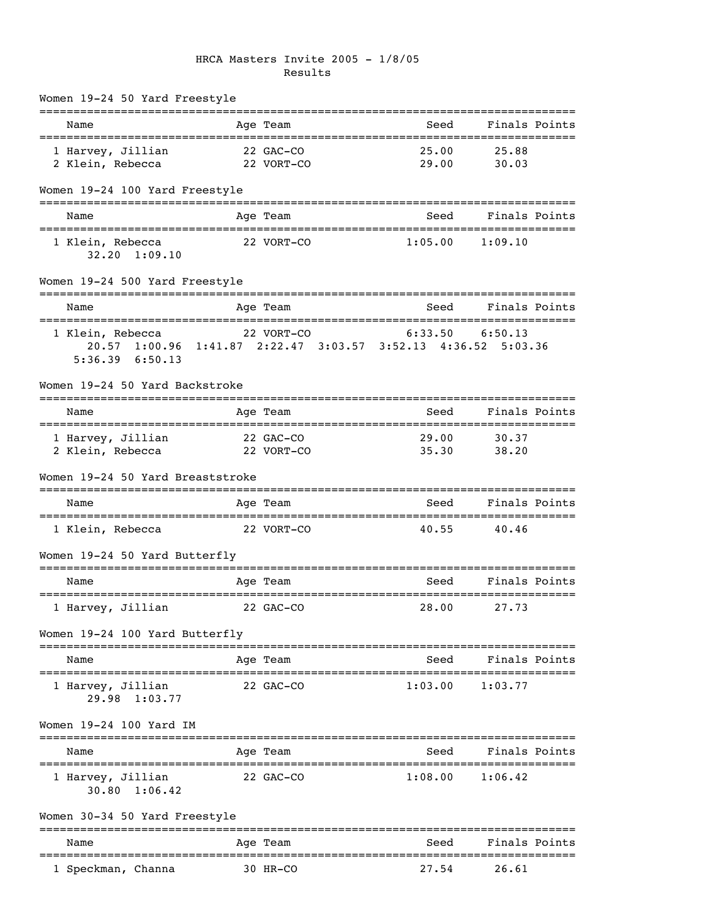### HRCA Masters Invite 2005 - 1/8/05 Results

| Name                                                                                                     | Age Team                                  | Seed                         | Finals Points          |  |
|----------------------------------------------------------------------------------------------------------|-------------------------------------------|------------------------------|------------------------|--|
| 1 Harvey, Jillian<br>2 Klein, Rebecca                                                                    | 22 GAC-CO<br>22 VORT-CO                   | 25.00<br>29.00               | 25.88<br>30.03         |  |
| Women 19-24 100 Yard Freestyle                                                                           |                                           |                              |                        |  |
| Name                                                                                                     | Age Team                                  | --------------------<br>Seed | Finals Points          |  |
| 1 Klein, Rebecca<br>32.20 1:09.10                                                                        | 22 VORT-CO                                | 1:05.00                      | 1:09.10                |  |
| Women 19-24 500 Yard Freestyle                                                                           |                                           |                              |                        |  |
| Name                                                                                                     | Age Team                                  | Seed                         | Finals Points          |  |
| 1 Klein, Rebecca<br>20.57 1:00.96 1:41.87 2:22.47 3:03.57 3:52.13 4:36.52 5:03.36<br>$5:36.39$ $6:50.13$ | 22 VORT-CO                                | 6:33.50                      | 6:50.13                |  |
| Women 19-24 50 Yard Backstroke                                                                           |                                           |                              |                        |  |
| Name                                                                                                     | Age Team                                  | Seed                         | Finals Points          |  |
| 1 Harvey, Jillian<br>2 Klein, Rebecca                                                                    | 22 GAC-CO<br>22 VORT-CO                   | 29.00<br>35.30               | 30.37<br>38.20         |  |
| Women 19-24 50 Yard Breaststroke                                                                         |                                           |                              |                        |  |
| Name                                                                                                     | Age Team                                  | Seed                         | Finals Points          |  |
| 1 Klein, Rebecca                                                                                         | 22 VORT-CO                                | 40.55                        | 40.46                  |  |
| Women 19-24 50 Yard Butterfly                                                                            |                                           |                              |                        |  |
| Name                                                                                                     | Age Team                                  | Seed                         | Finals Points          |  |
| 1 Harvey, Jillian                                                                                        | 22 GAC-CO                                 | 28.00                        | 27.73                  |  |
| Women 19-24 100 Yard Butterfly                                                                           |                                           |                              |                        |  |
| Name                                                                                                     | Age Team                                  | Seed                         | Finals Points          |  |
| 1 Harvey, Jillian<br>29.98 1:03.77                                                                       | 22 GAC-CO                                 | 1:03.00                      | 1:03.77                |  |
| Women 19-24 100 Yard IM                                                                                  |                                           |                              |                        |  |
| Name                                                                                                     | Age Team                                  | Seed                         | Finals Points          |  |
| 1 Harvey, Jillian<br>30.80 1:06.42                                                                       | 22 GAC-CO                                 | 1:08.00                      | 1:06.42                |  |
| Women 30-34 50 Yard Freestyle                                                                            |                                           |                              | ---------------------- |  |
| Name                                                                                                     | =============================<br>Age Team | Seed                         | Finals Points          |  |
| 1 Speckman, Channa                                                                                       | 30 HR-CO                                  | 27.54                        | 26.61                  |  |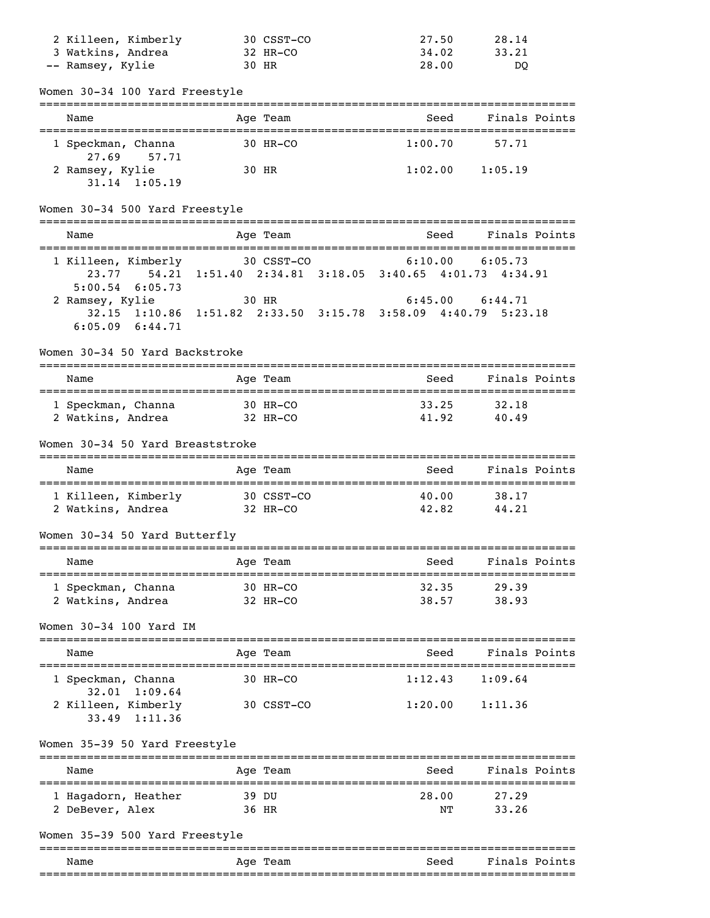| 2 Killeen, Kimberly | 30 CSST-CO | 27.50 | 28.14 |
|---------------------|------------|-------|-------|
| 3 Watkins, Andrea   | 32 HR-CO   | 34.02 | 33.21 |
| -- Ramsey, Kylie    | 30 HR      | 28.00 | DO    |

Women 30-34 100 Yard Freestyle

| Name                                 | Age Team   | Seed    | Finals Points |  |
|--------------------------------------|------------|---------|---------------|--|
| 1 Speckman, Channa<br>27.69 57.71    | $30$ HR-CO | 1:00.70 | 57.71         |  |
| 2 Ramsey, Kylie<br>$31.14$ $1:05.19$ | 30 HR      | 1:02.00 | 1:05.19       |  |

### Women 30-34 500 Yard Freestyle

| Name                | Age Team                                                      | Finals Points<br>Seed |
|---------------------|---------------------------------------------------------------|-----------------------|
| 1 Killeen, Kimberly | 30 CSST-CO                                                    | 6:05.73               |
| $5:00.54$ 6:05.73   | 23.77 54.21 1:51.40 2:34.81 3:18.05 3:40.65 4:01.73 4:34.91   | 6:10.00               |
| 2 Ramsey, Kylie     | 30 HR                                                         | 6:44.71               |
| $6:05.09$ $6:44.71$ | 32.15 1:10.86 1:51.82 2:33.50 3:15.78 3:58.09 4:40.79 5:23.18 | 6:45.00               |

#### Women 30-34 50 Yard Backstroke

| Name               | Age Team   | Finals Points<br>Seed |
|--------------------|------------|-----------------------|
| 1 Speckman, Channa | $30$ HR-CO | 33.25<br>32.18        |
| 2 Watkins, Andrea  | 32 HR-CO   | 41.92<br>40.49        |

#### Women 30-34 50 Yard Breaststroke

| Name                                     |  | Age Team               | Seed           | Finals Points  |  |
|------------------------------------------|--|------------------------|----------------|----------------|--|
| 1 Killeen, Kimberly<br>2 Watkins, Andrea |  | 30 CSST-CO<br>32 HR-CO | 40.00<br>42.82 | 38.17<br>44.21 |  |

### Women 30-34 50 Yard Butterfly

| Name               | Age Team   | Finals Points<br>Seed |  |
|--------------------|------------|-----------------------|--|
| 1 Speckman, Channa | $30$ HR-CO | 32.35<br>29.39        |  |
| 2 Watkins, Andrea  | 32 HR-CO   | 38.93<br>38.57        |  |

#### Women 30-34 100 Yard IM

| Name                                        | Age Team               | Seed    | Finals Points |
|---------------------------------------------|------------------------|---------|---------------|
| 1 Speckman, Channa<br>$32.01 \quad 1:09.64$ | $30$ HR-CO             | 1:12.43 | 1:09.64       |
| 2 Killeen, Kimberly<br>$33.49$ 1:11.36      | $30 \text{ CSST} - CQ$ | 1:20.00 | 1:11.36       |

## Women 35-39 50 Yard Freestyle

| Name                | Age Team | Seed  | Finals Points |
|---------------------|----------|-------|---------------|
| 1 Hagadorn, Heather | 39 DU    | 28.00 | 27.29         |
| 2 DeBever, Alex     | 36 HR    | NΤ    | 33.26         |

## Women 35-39 500 Yard Freestyle

|      |             | __________________________ |                           |
|------|-------------|----------------------------|---------------------------|
| Name | Age<br>Team | Seed                       | Fina<br>$Point \in$<br>.s |
|      |             | ________________________   | _______________           |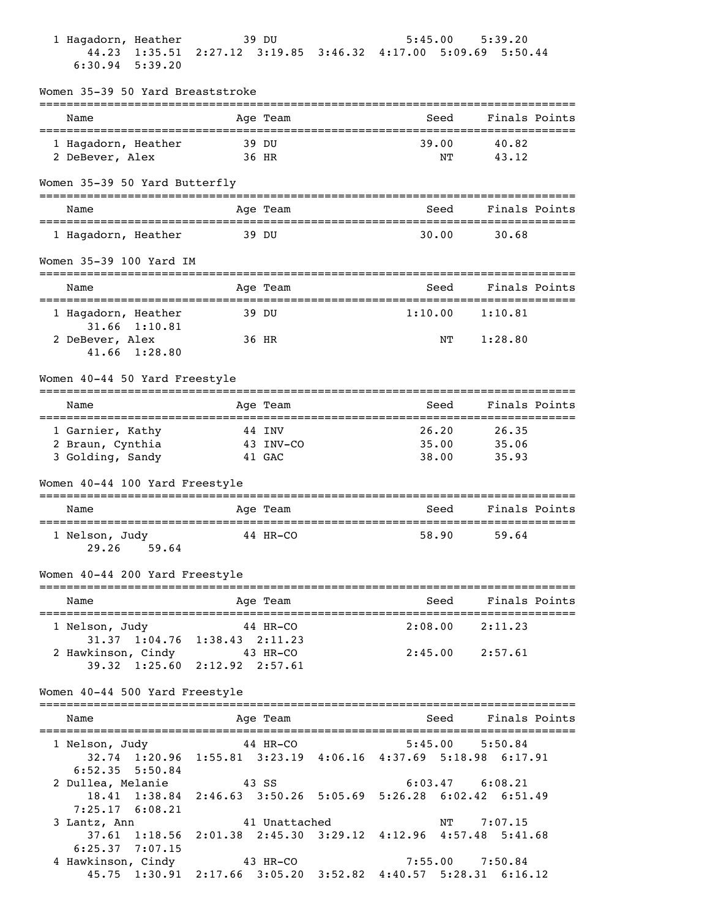| 1 Hagadorn, Heather                           | 39 DU                                                                     | 5:45.00                     | 5:39.20                          |
|-----------------------------------------------|---------------------------------------------------------------------------|-----------------------------|----------------------------------|
| 44.23 1:35.51<br>$6:30.94$ 5:39.20            | 2:27.12 3:19.85 3:46.32 4:17.00 5:09.69 5:50.44                           |                             |                                  |
| Women 35-39 50 Yard Breaststroke              |                                                                           |                             |                                  |
| Name                                          | Age Team                                                                  | Seed                        | Finals Points                    |
| 1 Hagadorn, Heather                           | 39 DU                                                                     | 39.00                       | 40.82                            |
| 2 DeBever, Alex                               | 36 HR                                                                     | NΤ                          | 43.12                            |
| Women 35-39 50 Yard Butterfly                 |                                                                           |                             |                                  |
| Name                                          | Age Team                                                                  | Seed                        | Finals Points                    |
| 1 Hagadorn, Heather                           | 39 DU                                                                     | 30.00                       | 30.68                            |
| Women 35-39 100 Yard IM                       |                                                                           |                             |                                  |
| Name<br>================================      | Age Team                                                                  | Seed<br>=================== | Finals Points<br>=============== |
| 1 Hagadorn, Heather<br>31.66 1:10.81          | 39 DU                                                                     | 1:10.00                     | 1:10.81                          |
| 2 DeBever, Alex<br>41.66 1:28.80              | 36 HR                                                                     | NΤ                          | 1:28.80                          |
| Women 40-44 50 Yard Freestyle                 |                                                                           |                             |                                  |
| Name<br>===================================   | Age Team                                                                  | Seed                        | Finals Points                    |
| 1 Garnier, Kathy                              | 44 INV                                                                    | 26.20                       | 26.35                            |
| 2 Braun, Cynthia                              | 43 INV-CO                                                                 | 35.00                       | 35.06                            |
| 3 Golding, Sandy                              | 41 GAC                                                                    | 38.00                       | 35.93                            |
| Women 40-44 100 Yard Freestyle                |                                                                           |                             | :================                |
| Name<br>===================================== | Age Team                                                                  | Seed                        | Finals Points                    |
| 1 Nelson, Judy<br>29.26 59.64                 | 44 HR-CO                                                                  | 58.90                       | 59.64                            |
| Women 40-44 200 Yard Freestyle                |                                                                           |                             |                                  |
| Name<br>====================================  | Age Team                                                                  | Seed                        | Finals Points                    |
| 1 Nelson, Judy                                | 44 HR-CO<br>31.37 1:04.76 1:38.43 2:11.23                                 |                             | $2:08.00$ $2:11.23$              |
| 2 Hawkinson, Cindy 43 HR-CO                   | 39.32 1:25.60 2:12.92 2:57.61                                             |                             | $2:45.00$ $2:57.61$              |
| Women 40-44 500 Yard Freestyle                |                                                                           |                             |                                  |
| Name                                          | Age Team                                                                  | Seed                        | Finals Points                    |
| 1 Nelson, Judy                                | 44 HR-CO<br>32.74 1:20.96 1:55.81 3:23.19 4:06.16 4:37.69 5:18.98 6:17.91 | 5:45.00                     | 5:50.84                          |
| $6:52.35$ $5:50.84$                           |                                                                           |                             |                                  |
| 2 Dullea, Melanie                             | 43 SS<br>18.41 1:38.84 2:46.63 3:50.26 5:05.69 5:26.28 6:02.42 6:51.49    |                             | $6:03.47$ $6:08.21$              |
| $7:25.17$ $6:08.21$<br>3 Lantz, Ann           | 41 Unattached                                                             | NΤ                          | 7:07.15                          |
| $6:25.37$ 7:07.15                             | 37.61 1:18.56 2:01.38 2:45.30 3:29.12 4:12.96 4:57.48 5:41.68             |                             |                                  |
| 4 Hawkinson, Cindy 43 HR-CO                   |                                                                           |                             | 7:55.00 7:50.84                  |
|                                               | 45.75 1:30.91 2:17.66 3:05.20 3:52.82 4:40.57 5:28.31 6:16.12             |                             |                                  |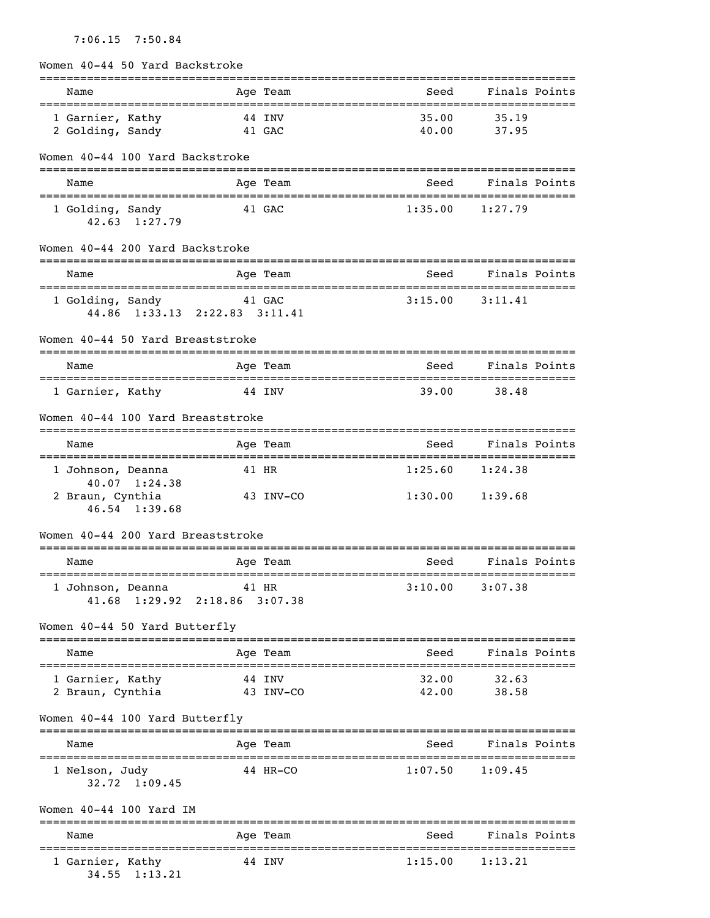## 7:06.15 7:50.84

|  |  |  |  | Women 40-44 50 Yard Backstroke |
|--|--|--|--|--------------------------------|
|--|--|--|--|--------------------------------|

| Name                                                                      | Age Team            | Seed                | Finals Points        |
|---------------------------------------------------------------------------|---------------------|---------------------|----------------------|
| 1 Garnier, Kathy<br>2 Golding, Sandy                                      | 44 INV<br>41 GAC    | 35.00<br>40.00      | 35.19<br>37.95       |
| Women 40-44 100 Yard Backstroke<br>-------------------------------------- |                     |                     |                      |
| Name                                                                      | Age Team            | Seed                | Finals Points        |
| 1 Golding, Sandy<br>$42.63 \quad 1:27.79$                                 | 41 GAC              | 1:35.00             | 1:27.79              |
| Women 40-44 200 Yard Backstroke                                           |                     |                     |                      |
| Name                                                                      | Age Team            | Seed                | Finals Points        |
| 1 Golding, Sandy<br>44.86 1:33.13 2:22.83 3:11.41                         | 41 GAC              | 3:15.00             | 3:11.41              |
| Women 40-44 50 Yard Breaststroke                                          |                     |                     |                      |
| Name                                                                      | Age Team            | Seed                | Finals Points        |
| 1 Garnier, Kathy                                                          | 44 INV              | 39.00               | 38.48                |
| Women 40-44 100 Yard Breaststroke                                         |                     |                     |                      |
| Name                                                                      | Age Team            | Seed                | Finals Points        |
| 1 Johnson, Deanna                                                         | 41 HR               | 1:25.60             | 1:24.38              |
| 40.07 1:24.38<br>2 Braun, Cynthia<br>$46.54$ 1:39.68                      | 43 INV-CO           | 1:30.00             | 1:39.68              |
| Women 40-44 200 Yard Breaststroke                                         |                     |                     |                      |
| Name                                                                      | Age Team            | Seed                | Finals Points        |
| 1 Johnson, Deanna 11 HR<br>41.68 1:29.92 2:18.86 3:07.38                  |                     | $3:10.00$ $3:07.38$ |                      |
| Women 40-44 50 Yard Butterfly                                             |                     |                     |                      |
| Name                                                                      | Age Team            | Seed                | Finals Points        |
| 1 Garnier, Kathy<br>2 Braun, Cynthia                                      | 44 INV<br>43 INV-CO | 32.00               | 32.63<br>42.00 38.58 |
| Women 40-44 100 Yard Butterfly                                            |                     |                     |                      |
| Name                                                                      | Age Team            | Seed                | Finals Points        |
| 1 Nelson, Judy<br>$32.72 \quad 1:09.45$                                   | 44 HR-CO            |                     | $1:07.50$ $1:09.45$  |
| Women 40-44 100 Yard IM                                                   |                     |                     |                      |
| Name                                                                      | Age Team            |                     | Seed Finals Points   |
| 1 Garnier, Kathy<br>34.55 1:13.21                                         | 44 INV              |                     | $1:15.00$ $1:13.21$  |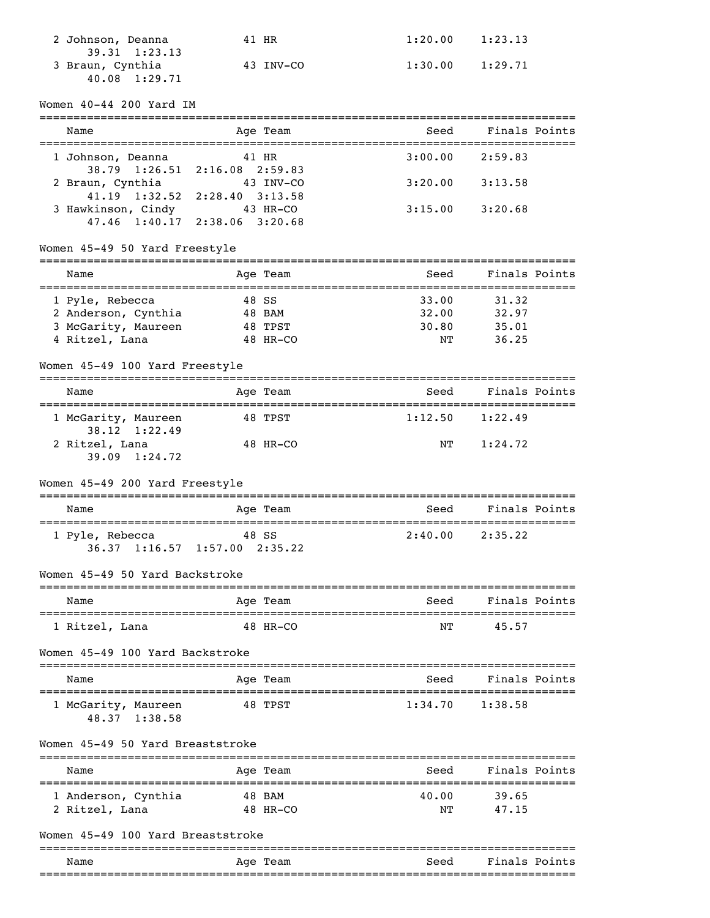| 2 Johnson, Deanna     | 41 HR     | 1:20.00 | 1:23.13 |
|-----------------------|-----------|---------|---------|
| $39.31 \quad 1:23.13$ |           |         |         |
| 3 Braun, Cynthia      | 43 INV-CO | 1:30.00 | 1:29.71 |
| 40.08 1:29.71         |           |         |         |

## Women 40-44 200 Yard IM

| Name                                                         | Age Team           | Seed                                          | Finals Points       |
|--------------------------------------------------------------|--------------------|-----------------------------------------------|---------------------|
| 1 Johnson, Deanna<br>38.79 1:26.51 2:16.08 2:59.83           | 41 HR              | 3:00.00                                       | 2:59.83             |
| 2 Braun, Cynthia<br>41.19 1:32.52 2:28.40 3:13.58            | 43 INV-CO          | 3:20.00                                       | 3:13.58             |
| 3 Hawkinson, Cindy 43 HR-CO<br>47.46 1:40.17 2:38.06 3:20.68 |                    | 3:15.00                                       | 3:20.68             |
| Women 45-49 50 Yard Freestyle                                |                    |                                               |                     |
| Name                                                         | Age Team           | Seed                                          | Finals Points       |
| 1 Pyle, Rebecca                                              | 48 SS              | 33.00<br>32.00                                | 31.32<br>32.97      |
| 2 Anderson, Cynthia 48 BAM<br>3 McGarity, Maureen            | 48 TPST            | 30.80                                         | 35.01               |
| 4 Ritzel, Lana                                               | 48 HR-CO           | NΤ                                            | 36.25               |
| Women 45-49 100 Yard Freestyle                               |                    |                                               |                     |
| Name                                                         | Age Team           | Seed                                          | Finals Points       |
| 1 McGarity, Maureen<br>38.12 1:22.49                         | 48 TPST            | 1:12.50                                       | 1:22.49             |
| 2 Ritzel, Lana<br>$39.09$ $1:24.72$                          | 48 HR-CO           | ΝT                                            | 1:24.72             |
| Women 45-49 200 Yard Freestyle                               |                    |                                               |                     |
| Name                                                         | Age Team           | Seed                                          | Finals Points       |
| 1 Pyle, Rebecca<br>36.37 1:16.57 1:57.00 2:35.22             | 48 SS              |                                               | $2:40.00$ $2:35.22$ |
| Women 45-49 50 Yard Backstroke                               |                    |                                               |                     |
| Name                                                         | Age Team           | Seed                                          | Finals Points       |
| 1 Ritzel, Lana 48 HR-CO                                      |                    | <b>STATE SECTION AND STATE OF STATE STATE</b> | 45.57               |
| Women 45-49 100 Yard Backstroke                              |                    |                                               |                     |
| Name                                                         | Age Team           | Seed                                          | Finals Points       |
| 1 McGarity, Maureen<br>48.37 1:38.58                         | 48 TPST            | $1:34.70$ $1:38.58$                           |                     |
| Women 45-49 50 Yard Breaststroke                             | =============      |                                               |                     |
| Name                                                         | Age Team           | Seed                                          | Finals Points       |
| 1 Anderson, Cynthia<br>2 Ritzel, Lana                        | 48 BAM<br>48 HR-CO | 40.00<br>NΤ                                   | 39.65<br>47.15      |
| Women 45-49 100 Yard Breaststroke                            |                    |                                               |                     |
|                                                              |                    |                                               |                     |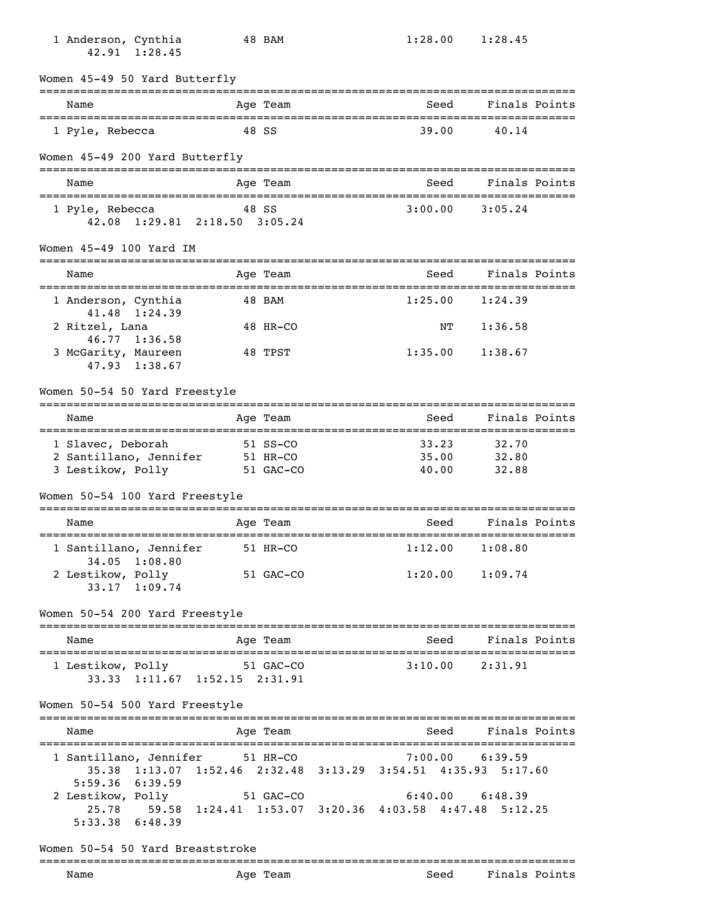| 1 Anderson, Cynthia<br>42.91 1:28.45                                                                                                     |          | 48 BAM                 | 1:28.00 |         | 1:28.45             |  |
|------------------------------------------------------------------------------------------------------------------------------------------|----------|------------------------|---------|---------|---------------------|--|
| Women 45-49 50 Yard Butterfly                                                                                                            |          |                        |         |         |                     |  |
| Name<br>=======================                                                                                                          |          | Age Team               |         | Seed    | Finals Points       |  |
| 1 Pyle, Rebecca                                                                                                                          |          | 48 SS                  |         | 39.00   | 40.14               |  |
| Women 45-49 200 Yard Butterfly                                                                                                           |          |                        |         |         |                     |  |
| Name                                                                                                                                     |          | Age Team               |         | Seed    | Finals Points       |  |
| 1 Pyle, Rebecca<br>42.08 1:29.81 2:18.50 3:05.24                                                                                         |          | 48 SS                  | 3:00.00 |         | 3:05.24             |  |
| Women 45-49 100 Yard IM                                                                                                                  |          | =======                |         |         |                     |  |
| Name                                                                                                                                     |          | Age Team               |         | Seed    | Finals Points       |  |
| 1 Anderson, Cynthia<br>41.48<br>1:24.39                                                                                                  |          | 48 BAM                 | 1:25.00 |         | 1:24.39             |  |
| 2 Ritzel, Lana<br>46.77 1:36.58                                                                                                          |          | 48 HR-CO               |         | NΤ      | 1:36.58             |  |
| 3 McGarity, Maureen<br>47.93 1:38.67                                                                                                     |          | 48 TPST                |         | 1:35.00 | 1:38.67             |  |
| Women 50-54 50 Yard Freestyle                                                                                                            |          |                        |         |         |                     |  |
| Name                                                                                                                                     |          | Age Team               |         | Seed    | Finals Points       |  |
| 1 Slavec, Deborah                                                                                                                        |          | 51 SS-CO               |         | 33.23   | 32.70               |  |
| 2 Santillano, Jennifer<br>3 Lestikow, Polly                                                                                              | 51 HR-CO | 51 GAC-CO              | 35.00   | 40.00   | 32.80<br>32.88      |  |
| Women 50-54 100 Yard Freestyle                                                                                                           |          |                        |         |         |                     |  |
| Name                                                                                                                                     |          | ==========<br>Age Team |         | Seed    | Finals Points       |  |
| 1 Santillano, Jennifer                                                                                                                   |          | 51 HR-CO               | 1:12.00 |         | 1:08.80             |  |
| 34.05 1:08.80<br>2 Lestikow, Polly<br>33.17 1:09.74                                                                                      |          | 51 GAC-CO              |         |         | $1:20.00$ $1:09.74$ |  |
| Women 50-54 200 Yard Freestyle                                                                                                           |          |                        |         |         |                     |  |
| =============================<br>Name                                                                                                    |          | Age Team               |         | Seed    | Finals Points       |  |
| 1 Lestikow, Polly 51 GAC-CO<br>33.33 1:11.67 1:52.15 2:31.91                                                                             |          |                        |         |         | $3:10.00$ $2:31.91$ |  |
| Women 50-54 500 Yard Freestyle                                                                                                           |          |                        |         |         |                     |  |
| Name                                                                                                                                     |          | Age Team               |         | Seed    | Finals Points       |  |
| 1 Santillano, Jennifer 51 HR-CO<br>35.38 1:13.07 1:52.46 2:32.48 3:13.29 3:54.51 4:35.93 5:17.60                                         |          |                        |         |         | $7:00.00$ $6:39.59$ |  |
| $5:59.36$ $6:39.59$<br>2 Lestikow, Polly 51 GAC-CO<br>25.78 59.58 1:24.41 1:53.07 3:20.36 4:03.58 4:47.48 5:12.25<br>$5:33.38$ $6:48.39$ |          |                        |         |         | $6:40.00$ $6:48.39$ |  |
| Women 50-54 50 Yard Breaststroke                                                                                                         |          |                        |         |         |                     |  |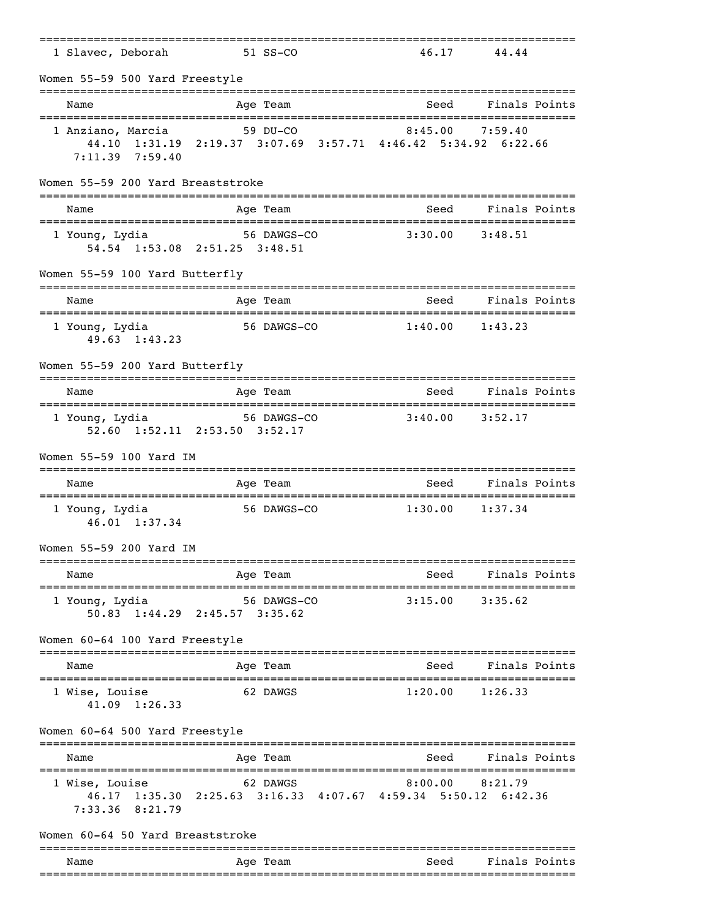| 1 Slavec, Deborah                                                      | 51 SS-CO                                                                                              | 46.17                                | 44.44                      |
|------------------------------------------------------------------------|-------------------------------------------------------------------------------------------------------|--------------------------------------|----------------------------|
| Women 55-59 500 Yard Freestyle                                         |                                                                                                       |                                      |                            |
| Name                                                                   | Age Team                                                                                              | Seed                                 | Finals Points              |
| 1 Anziano, Marcia<br>$7:11.39$ $7:59.40$                               | 59 DU-CO<br>44.10 1:31.19 2:19.37 3:07.69 3:57.71 4:46.42 5:34.92 6:22.66                             | 8:45.00                              | 7:59.40                    |
| Women 55-59 200 Yard Breaststroke                                      |                                                                                                       |                                      |                            |
| Name                                                                   | Age Team                                                                                              | Seed                                 | Finals Points              |
| 1 Young, Lydia                                                         | 56 DAWGS-CO<br>54.54 1:53.08 2:51.25 3:48.51                                                          | 3:30.00                              | 3:48.51                    |
| Women 55-59 100 Yard Butterfly                                         |                                                                                                       |                                      |                            |
| Name<br>---------------------                                          | Age Team<br>============                                                                              | Seed<br>___________________________  | Finals Points              |
| 1 Young, Lydia<br>49.63 1:43.23                                        | 56 DAWGS-CO                                                                                           | 1:40.00                              | 1:43.23                    |
| Women 55-59 200 Yard Butterfly                                         |                                                                                                       |                                      |                            |
| Name                                                                   | Age Team                                                                                              | Seed                                 | Finals Points              |
| 1 Young, Lydia                                                         | 56 DAWGS-CO<br>52.60 1:52.11 2:53.50 3:52.17                                                          | 3:40.00                              | 3:52.17                    |
| Women 55-59 100 Yard IM                                                |                                                                                                       |                                      |                            |
| Name                                                                   | Age Team                                                                                              | Seed<br>:=========================== | Finals Points              |
| 1 Young, Lydia<br>46.01 1:37.34                                        | 56 DAWGS-CO                                                                                           | 1:30.00                              | 1:37.34                    |
| Women 55-59 200 Yard IM                                                |                                                                                                       |                                      |                            |
| Name                                                                   | Age Team                                                                                              | Seed                                 | Finals Points              |
| 1 Young, Lydia                                                         | 56 DAWGS-CO<br>50.83 1:44.29 2:45.57 3:35.62                                                          | 3:15.00                              | 3:35.62                    |
| Women 60-64 100 Yard Freestyle                                         |                                                                                                       |                                      |                            |
| Name                                                                   | Age Team                                                                                              | Seed                                 | Finals Points              |
| 1 Wise, Louise<br>41.09 1:26.33                                        | 62 DAWGS                                                                                              | 1:20.00                              | 1:26.33                    |
| Women 60-64 500 Yard Freestyle                                         |                                                                                                       |                                      | ==============             |
| Name                                                                   | Age Team                                                                                              | Seed                                 | Finals Points              |
| =================================<br>1 Wise, Louise<br>7:33.36 8:21.79 | :=======================<br>62 DAWGS<br>46.17 1:35.30 2:25.63 3:16.33 4:07.67 4:59.34 5:50.12 6:42.36 | 8:00.00                              | ===============<br>8:21.79 |
| Women 60-64 50 Yard Breaststroke                                       |                                                                                                       |                                      |                            |
| Name                                                                   | Age Team                                                                                              | Seed                                 | Finals Points              |
|                                                                        |                                                                                                       |                                      |                            |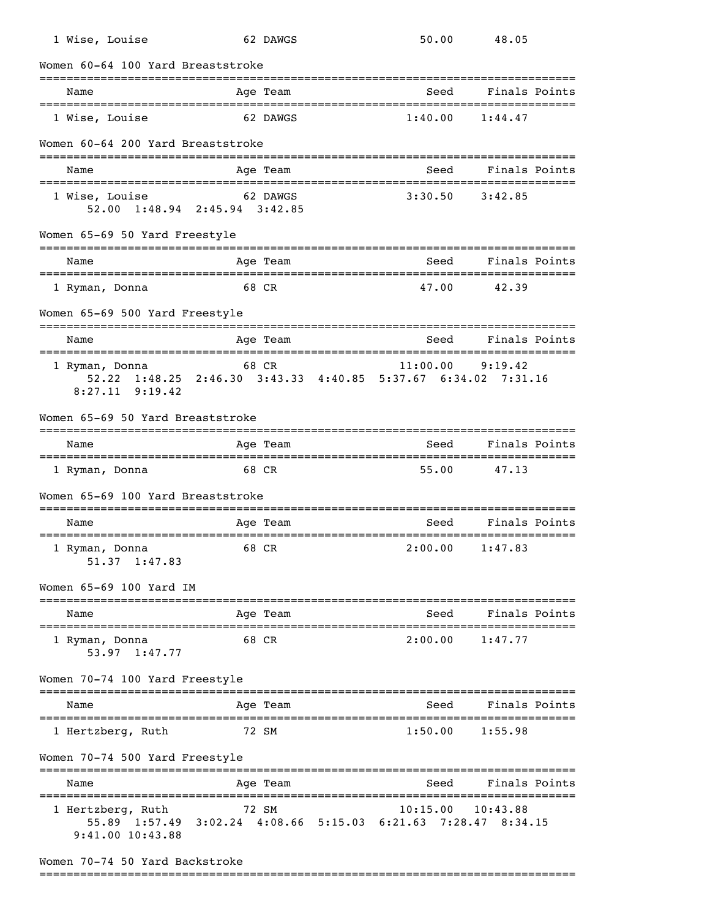| 1 Wise, Louise                                             | 62 DAWGS                                                 |             | 50.00    |      | 48.05                         |  |
|------------------------------------------------------------|----------------------------------------------------------|-------------|----------|------|-------------------------------|--|
| Women 60-64 100 Yard Breaststroke                          |                                                          |             |          |      |                               |  |
| Name                                                       | Age Team                                                 | ----------- |          | Seed | Finals Points                 |  |
| 1 Wise, Louise                                             |                                                          | 62 DAWGS    | 1:40.00  |      | 1:44.47                       |  |
| Women 60-64 200 Yard Breaststroke                          |                                                          |             |          |      |                               |  |
| Name                                                       | Age Team                                                 |             |          | Seed | Finals Points                 |  |
| 1 Wise, Louise<br>52.00 1:48.94 2:45.94 3:42.85            | 62 DAWGS                                                 |             | 3:30.50  |      | 3:42.85                       |  |
| Women 65-69 50 Yard Freestyle                              |                                                          |             |          |      |                               |  |
| Name                                                       | Age Team                                                 |             |          | Seed | Finals Points                 |  |
| 1 Ryman, Donna                                             | 68 CR                                                    |             | 47.00    |      | 42.39                         |  |
| Women 65-69 500 Yard Freestyle                             |                                                          |             |          |      | ----------------------------- |  |
| Name                                                       | Age Team                                                 |             |          | Seed | Finals Points                 |  |
| 1 Ryman, Donna<br>$8:27.11$ 9:19.42                        | 68 CR                                                    |             |          |      | $11:00.00$ 9:19.42            |  |
| Women 65-69 50 Yard Breaststroke                           |                                                          |             |          |      |                               |  |
| Name                                                       | Age Team                                                 |             |          | Seed | Finals Points                 |  |
| 1 Ryman, Donna                                             | 68 CR                                                    |             | 55.00    |      | 47.13                         |  |
| Women 65-69 100 Yard Breaststroke                          |                                                          |             |          |      |                               |  |
| Name                                                       | Age Team                                                 |             |          | Seed | Finals Points                 |  |
| 1 Ryman, Donna<br>51.37 1:47.83                            | 68 CR                                                    |             | 2:00.00  |      | 1:47.83                       |  |
| Women 65-69 100 Yard IM                                    |                                                          |             |          |      |                               |  |
| Name                                                       | Age Team                                                 |             |          | Seed | Finals Points                 |  |
| 1 Ryman, Donna<br>53.97 1:47.77                            | 68 CR                                                    |             | 2:00.00  |      | 1:47.77                       |  |
| Women 70-74 100 Yard Freestyle                             |                                                          |             |          |      |                               |  |
| Name                                                       | Age Team                                                 |             |          | Seed | Finals Points                 |  |
| 1 Hertzberg, Ruth                                          | 72 SM                                                    |             | 1:50.00  |      | 1:55.98                       |  |
| Women 70-74 500 Yard Freestyle                             |                                                          |             |          |      |                               |  |
| Name                                                       | Age Team                                                 |             |          | Seed | Finals Points                 |  |
| 1 Hertzberg, Ruth<br>$55.89$ $1:57.49$<br>9:41.00 10:43.88 | 72 SM<br>3:02.24 4:08.66 5:15.03 6:21.63 7:28.47 8:34.15 |             | 10:15.00 |      | 10:43.88                      |  |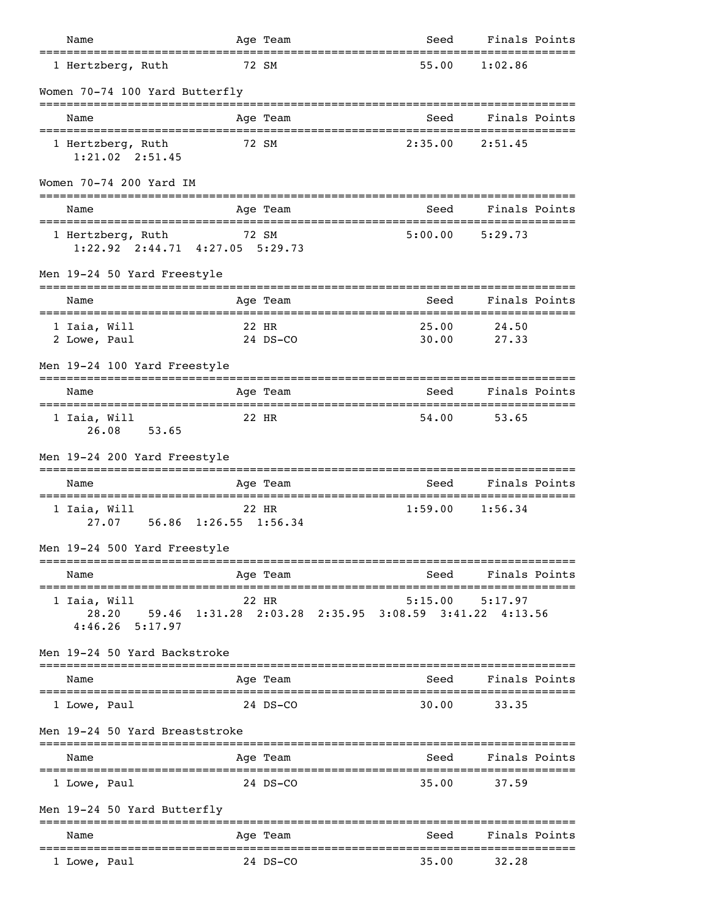| Name                                                       |          | Age Team     |                                                                  | Seed Finals Points  |  |
|------------------------------------------------------------|----------|--------------|------------------------------------------------------------------|---------------------|--|
| 1 Hertzberg, Ruth                                          | 72 SM    |              | 55.00                                                            | 1:02.86             |  |
| Women 70-74 100 Yard Butterfly                             |          |              |                                                                  |                     |  |
| Name                                                       |          | Age Team     |                                                                  | Seed Finals Points  |  |
| 1 Hertzberg, Ruth<br>$1:21.02$ $2:51.45$                   | 72 SM    |              |                                                                  | $2:35.00$ $2:51.45$ |  |
| Women 70-74 200 Yard IM                                    |          |              |                                                                  |                     |  |
| Name                                                       |          | Age Team     | Seed                                                             | Finals Points       |  |
| 1 Hertzberg, Ruth 72 SM<br>1:22.92 2:44.71 4:27.05 5:29.73 |          |              | 5:00.00                                                          | 5:29.73             |  |
| Men 19-24 50 Yard Freestyle                                |          |              |                                                                  |                     |  |
| Name                                                       |          | Age Team     | Seed                                                             | Finals Points       |  |
| 1 Iaia, Will<br>2 Lowe, Paul                               | 22 HR    | 24 DS-CO     | 25.00<br>30.00                                                   | 24.50<br>27.33      |  |
| Men 19-24 100 Yard Freestyle                               |          | ============ | ---------------------                                            | -----------------   |  |
| Name                                                       |          | Age Team     | Seed                                                             | Finals Points       |  |
| 1 Iaia, Will<br>26.08 53.65                                | 22 HR    |              | 54.00                                                            | 53.65               |  |
| Men 19-24 200 Yard Freestyle                               |          |              |                                                                  |                     |  |
| Name                                                       | Age Team |              | Seed                                                             | Finals Points       |  |
| 1 Iaia, Will<br>27.07 56.86 1:26.55 1:56.34                | 22 HR    |              |                                                                  | $1:59.00$ $1:56.34$ |  |
| Men 19-24 500 Yard Freestyle                               |          |              |                                                                  |                     |  |
| Name                                                       |          | Age Team     | Seed                                                             | Finals Points       |  |
| 1 Iaia, Will<br>28.20<br>$4:46.26$ 5:17.97                 | 22 HR    |              | 5:15.00<br>59.46 1:31.28 2:03.28 2:35.95 3:08.59 3:41.22 4:13.56 | 5:17.97             |  |
| Men 19-24 50 Yard Backstroke                               |          |              |                                                                  |                     |  |
| Name                                                       |          | Age Team     | =================================<br>Seed                        | Finals Points       |  |
| 1 Lowe, Paul                                               |          | 24 DS-CO     | 30.00                                                            | 33.35               |  |
| Men 19-24 50 Yard Breaststroke                             |          |              |                                                                  |                     |  |
| Name                                                       |          | Age Team     | Seed                                                             | Finals Points       |  |
| 1 Lowe, Paul                                               |          | 24 DS-CO     | 35.00                                                            | 37.59               |  |
| Men 19-24 50 Yard Butterfly                                |          |              |                                                                  |                     |  |
| Name                                                       |          | Age Team     | Seed                                                             | Finals Points       |  |
| 1 Lowe, Paul                                               |          | 24 DS-CO     | 35.00                                                            | 32.28               |  |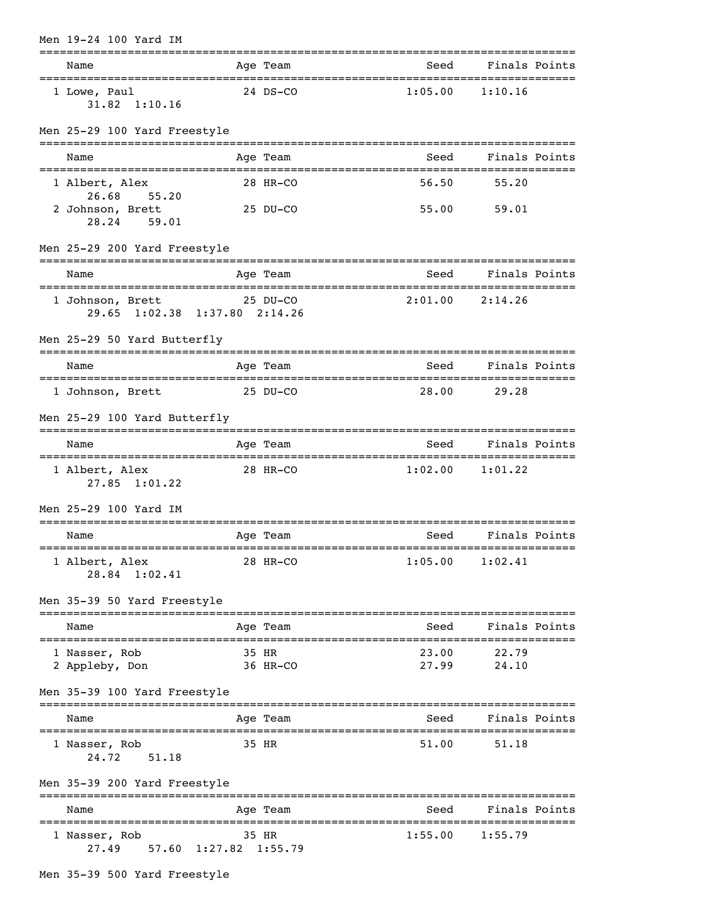| Men 19-24 100 Yard IM                                         |                   | :=======================         |                                   |               |
|---------------------------------------------------------------|-------------------|----------------------------------|-----------------------------------|---------------|
| Name                                                          | Age Team          |                                  | Seed Finals Points                |               |
| 1 Lowe, Paul<br>$31.82 \quad 1:10.16$                         | 24 DS-CO          |                                  | $1:05.00$ $1:10.16$               |               |
| Men 25-29 100 Yard Freestyle                                  |                   |                                  |                                   |               |
| Name                                                          | Age Team          | Seed                             |                                   | Finals Points |
| 1 Albert, Alex<br>26.68 55.20                                 | 28 HR-CO          | 56.50                            | 55.20                             |               |
| 2 Johnson, Brett<br>28.24 59.01                               | 25 DU-CO          |                                  | 55.00 59.01                       |               |
| Men 25-29 200 Yard Freestyle                                  |                   |                                  |                                   |               |
| Name                                                          | Age Team          |                                  | Seed Finals Points                |               |
| 25 DU-CO<br>1 Johnson, Brett<br>29.65 1:02.38 1:37.80 2:14.26 |                   |                                  | $2:01.00$ $2:14.26$               |               |
| Men 25-29 50 Yard Butterfly                                   |                   | .=============================== |                                   |               |
| Name                                                          | Age Team          | Seed                             | Finals Points                     |               |
| 1 Johnson, Brett 25 DU-CO                                     |                   | 28.00                            | 29.28                             |               |
| Men 25-29 100 Yard Butterfly                                  |                   |                                  |                                   |               |
| Name                                                          | Age Team          | Seed                             | Finals Points                     |               |
| 1 Albert, Alex<br>$27.85$ $1:01.22$                           | 28 HR-CO          |                                  | $1:02.00$ $1:01.22$               |               |
| Men 25-29 100 Yard IM                                         |                   |                                  |                                   |               |
| Name                                                          | Age Team          | Seed                             |                                   | Finals Points |
| 1 Albert, Alex<br>28.84 1:02.41                               | 28 HR-CO          | 1:05.00                          | 1:02.41                           |               |
| Men 35-39 50 Yard Freestyle<br>================               | =============     |                                  |                                   |               |
| Name                                                          | Age Team          | Seed                             | Finals Points<br>---------------- |               |
| 1 Nasser, Rob<br>2 Appleby, Don                               | 35 HR<br>36 HR-CO | 23.00<br>27.99                   | 22.79<br>24.10                    |               |
| Men 35-39 100 Yard Freestyle                                  |                   |                                  |                                   |               |
| Name                                                          | Age Team          | Seed                             |                                   | Finals Points |
| 1 Nasser, Rob<br>24.72<br>51.18                               | 35 HR             | 51.00                            | 51.18                             |               |
| Men 35-39 200 Yard Freestyle                                  |                   |                                  |                                   |               |
| Name                                                          | Age Team          | Seed                             | Finals Points                     |               |
| 1 Nasser, Rob<br>57.60 1:27.82 1:55.79<br>27.49               | 35 HR             | 1:55.00                          | 1:55.79                           |               |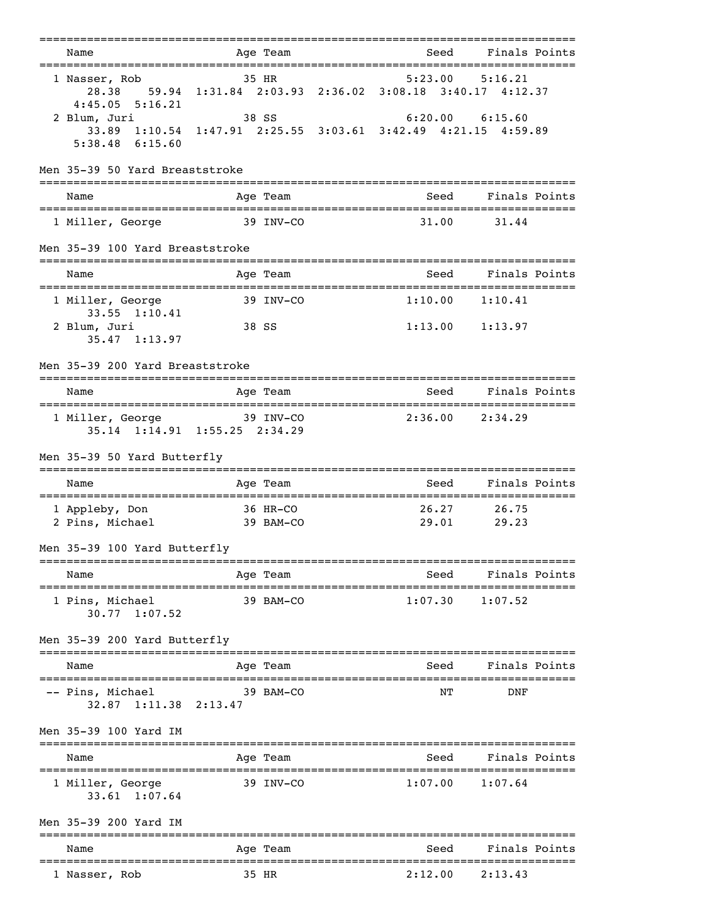|                                               | =====================                                                  | ------------------------------------ |                     |  |
|-----------------------------------------------|------------------------------------------------------------------------|--------------------------------------|---------------------|--|
| Name                                          | Age Team                                                               | Seed                                 | Finals Points       |  |
| 1 Nasser, Rob<br>28.38<br>$4:45.05$ $5:16.21$ | 35 HR<br>59.94 1:31.84 2:03.93 2:36.02 3:08.18 3:40.17 4:12.37         |                                      | $5:23.00$ $5:16.21$ |  |
| 2 Blum, Juri<br>$5:38.48$ $6:15.60$           | 38 SS<br>33.89 1:10.54 1:47.91 2:25.55 3:03.61 3:42.49 4:21.15 4:59.89 |                                      | $6:20.00$ $6:15.60$ |  |
| Men 35-39 50 Yard Breaststroke                |                                                                        |                                      |                     |  |
| Name                                          | Age Team                                                               | Seed                                 | Finals Points       |  |
| 1 Miller, George                              | 39 INV-CO                                                              | 31.00                                | 31.44               |  |
| Men 35-39 100 Yard Breaststroke               |                                                                        |                                      |                     |  |
| Name                                          | Age Team                                                               | Seed                                 | Finals Points       |  |
| 1 Miller, George<br>33.55 1:10.41             | 39 INV-CO                                                              | 1:10.00                              | 1:10.41             |  |
| 2 Blum, Juri<br>35.47 1:13.97                 | 38 SS                                                                  |                                      | $1:13.00$ $1:13.97$ |  |
| Men 35-39 200 Yard Breaststroke               |                                                                        |                                      |                     |  |
| Name                                          | Age Team                                                               | Seed                                 | Finals Points       |  |
| 1 Miller, George                              | $39$ INV-CO<br>35.14 1:14.91 1:55.25 2:34.29                           |                                      | $2:36.00$ $2:34.29$ |  |
| Men 35-39 50 Yard Butterfly                   |                                                                        |                                      |                     |  |
| Name                                          | Age Team                                                               | Seed                                 | Finals Points       |  |
| 1 Appleby, Don<br>2 Pins, Michael 39 BAM-CO   | $36$ HR-CO                                                             | 26.27<br>29.01                       | 26.75<br>29.23      |  |
| Men 35-39 100 Yard Butterfly                  |                                                                        |                                      |                     |  |
| Name                                          | Age Team                                                               |                                      | Seed Finals Points  |  |
| 1 Pins, Michael<br>$30.77$ 1:07.52            | $39$ BAM $-CO$                                                         |                                      | $1:07.30$ $1:07.52$ |  |
| Men 35-39 200 Yard Butterfly                  |                                                                        |                                      |                     |  |
| Name                                          | Age Team                                                               | Seed                                 | Finals Points       |  |
| -- Pins, Michael<br>32.87 1:11.38 2:13.47     | $39$ BAM $-CO$                                                         | ΝT                                   | DNF                 |  |
| Men 35-39 100 Yard IM                         |                                                                        |                                      |                     |  |
| Name                                          | Age Team                                                               |                                      | Seed Finals Points  |  |
| 1 Miller, George<br>33.61 1:07.64             | 39 INV-CO                                                              |                                      | $1:07.00$ $1:07.64$ |  |
| Men 35-39 200 Yard IM                         |                                                                        |                                      |                     |  |
| Name                                          | Age Team<br>=====================================                      | Seed<br>============================ | Finals Points       |  |
| 1 Nasser, Rob                                 | 35 HR                                                                  |                                      | $2:12.00$ $2:13.43$ |  |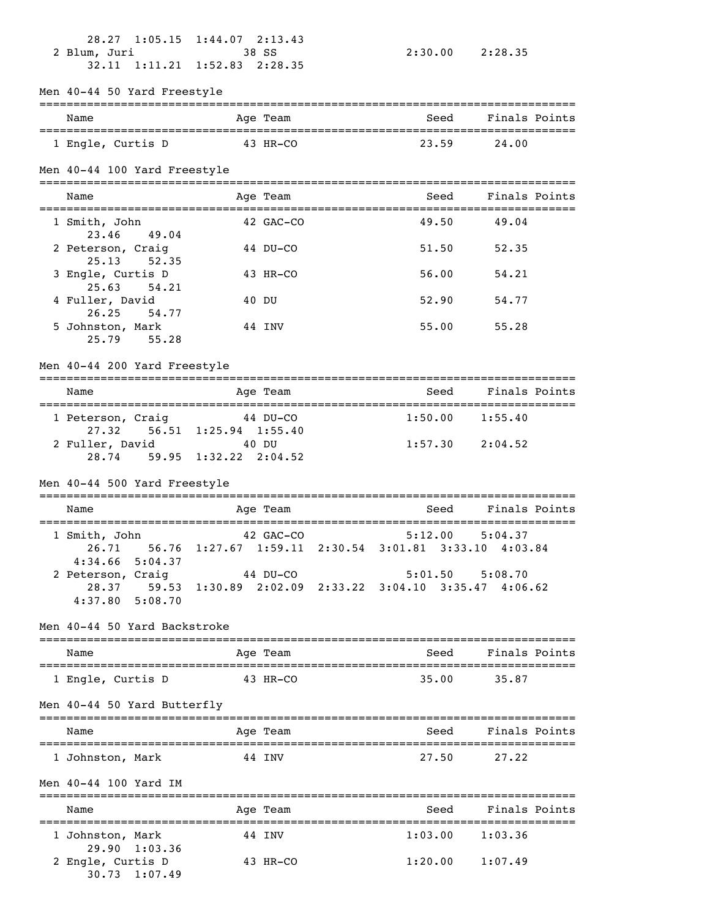| 2 Blum, Juri                                        | 28.27 1:05.15 1:44.07 2:13.43<br>38 SS<br>32.11 1:11.21 1:52.83 2:28.35 |       | 2:30.00 2:28.35     |  |
|-----------------------------------------------------|-------------------------------------------------------------------------|-------|---------------------|--|
| Men 40-44 50 Yard Freestyle                         |                                                                         |       |                     |  |
| Name                                                | Age Team                                                                | Seed  | Finals Points       |  |
| 1 Engle, Curtis D                                   | 43 HR-CO                                                                | 23.59 | 24.00               |  |
| Men 40-44 100 Yard Freestyle                        |                                                                         |       |                     |  |
| Name                                                | Age Team                                                                | Seed  | Finals Points       |  |
| 1 Smith, John                                       | 42 GAC-CO                                                               | 49.50 | 49.04               |  |
| 23.46 49.04<br>2 Peterson, Craig                    | 44 DU-CO                                                                | 51.50 | 52.35               |  |
| 25.13 52.35<br>3 Engle, Curtis D                    | 43 HR-CO                                                                | 56.00 | 54.21               |  |
| 25.63<br>54.21<br>4 Fuller, David                   | 40 DU                                                                   | 52.90 | 54.77               |  |
| 26.25<br>54.77<br>5 Johnston, Mark<br>25.79 55.28   | 44 INV                                                                  | 55.00 | 55.28               |  |
| Men 40-44 200 Yard Freestyle                        |                                                                         |       |                     |  |
| Name                                                | Age Team                                                                | Seed  | Finals Points       |  |
| 1 Peterson, Craig 44 DU-CO                          |                                                                         |       | $1:50.00$ $1:55.40$ |  |
| 2 Fuller, David                                     | 27.32 56.51 1:25.94 1:55.40<br>40 DU<br>28.74 59.95 1:32.22 2:04.52     |       | $1:57.30$ $2:04.52$ |  |
| Men 40-44 500 Yard Freestyle                        |                                                                         |       |                     |  |
| Name                                                | Age Team                                                                | Seed  | Finals Points       |  |
| 1 Smith, John                                       | 42 GAC-CO                                                               |       | $5:12.00$ $5:04.37$ |  |
| $4:34.66$ 5:04.37                                   | 26.71 56.76 1:27.67 1:59.11 2:30.54 3:01.81 3:33.10 4:03.84             |       |                     |  |
| 2 Peterson, Craig                                   | 44 DU-CO<br>28.37 59.53 1:30.89 2:02.09 2:33.22 3:04.10 3:35.47 4:06.62 |       | $5:01.50$ $5:08.70$ |  |
| $4:37.80$ 5:08.70                                   |                                                                         |       |                     |  |
| Men 40-44 50 Yard Backstroke                        |                                                                         |       |                     |  |
| Name                                                | Age Team                                                                |       | Seed Finals Points  |  |
| 1 Engle, Curtis D                                   | 43 HR-CO                                                                | 35.00 | 35.87               |  |
| Men 40-44 50 Yard Butterfly                         |                                                                         |       |                     |  |
| Name                                                | Age Team                                                                | Seed  | Finals Points       |  |
| 1 Johnston, Mark                                    | 44 INV                                                                  | 27.50 | 27.22               |  |
| Men 40-44 100 Yard IM                               |                                                                         |       |                     |  |
| Name                                                | Age Team                                                                |       | Seed Finals Points  |  |
| 1 Johnston, Mark                                    | 44 INV                                                                  |       | $1:03.00$ $1:03.36$ |  |
| 29.90 1:03.36<br>2 Engle, Curtis D<br>30.73 1:07.49 | 43 HR-CO                                                                |       | $1:20.00$ $1:07.49$ |  |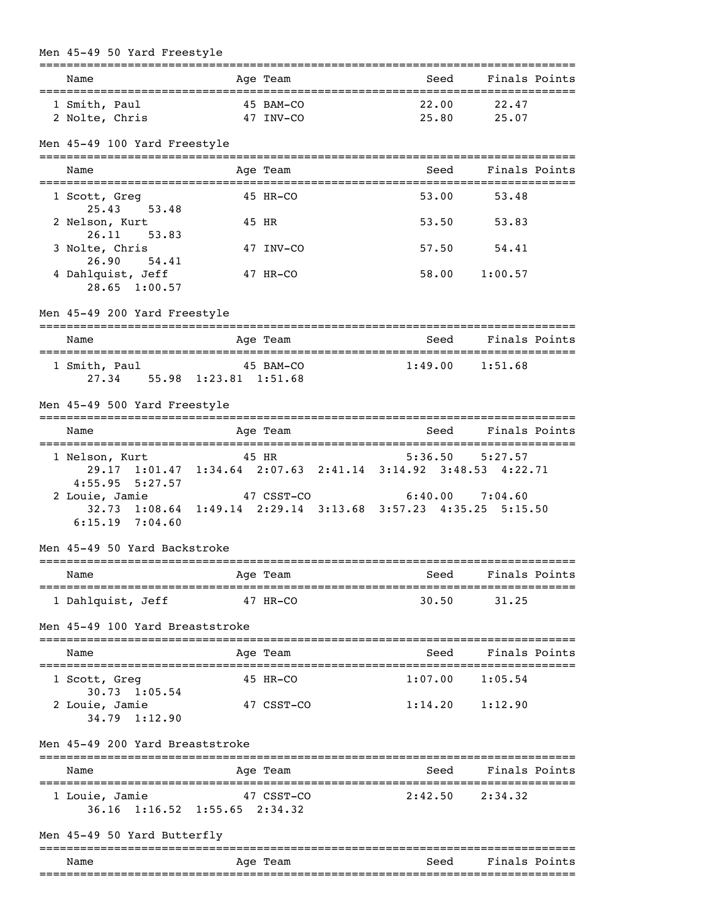| Men 45-49 50 Yard Freestyle                                                    |                                                                                                                                                       | :=========================== |                                            |
|--------------------------------------------------------------------------------|-------------------------------------------------------------------------------------------------------------------------------------------------------|------------------------------|--------------------------------------------|
| Name                                                                           | Age Team                                                                                                                                              | Seed                         | Finals Points                              |
| 1 Smith, Paul<br>2 Nolte, Chris                                                | 45 BAM-CO<br>47 INV-CO                                                                                                                                | 22.00<br>25.80               | 22.47<br>25.07                             |
| Men 45-49 100 Yard Freestyle                                                   |                                                                                                                                                       |                              |                                            |
| Name                                                                           | Age Team                                                                                                                                              | Seed                         | Finals Points                              |
| 1 Scott, Greg<br>25.43 53.48                                                   | 45 HR-CO                                                                                                                                              | 53.00                        | 53.48                                      |
| 2 Nelson, Kurt                                                                 | 45 HR                                                                                                                                                 | 53.50                        | 53.83                                      |
| 26.11<br>53.83<br>3 Nolte, Chris                                               | 47 INV-CO                                                                                                                                             | 57.50                        | 54.41                                      |
| 26.90<br>54.41<br>4 Dahlquist, Jeff<br>28.65 1:00.57                           | 47 HR-CO                                                                                                                                              |                              | 58.00 1:00.57                              |
| Men 45-49 200 Yard Freestyle                                                   |                                                                                                                                                       |                              |                                            |
| Name                                                                           | ---------<br>Age Team                                                                                                                                 | Seed                         | Finals Points                              |
| 1 Smith, Paul                                                                  | 45 BAM-CO<br>27.34 55.98 1:23.81 1:51.68                                                                                                              | 1:49.00                      | ==============================<br>1:51.68  |
| Men 45-49 500 Yard Freestyle                                                   |                                                                                                                                                       |                              |                                            |
| Name                                                                           | Age Team                                                                                                                                              | Seed                         | Finals Points                              |
| 1 Nelson, Kurt<br>$4:55.95$ $5:27.57$<br>2 Louie, Jamie<br>$6:15.19$ $7:04.60$ | 45 HR<br>29.17 1:01.47 1:34.64 2:07.63 2:41.14 3:14.92 3:48.53 4:22.71<br>47 CSST-CO<br>32.73 1:08.64 1:49.14 2:29.14 3:13.68 3:57.23 4:35.25 5:15.50 |                              | $5:36.50$ $5:27.57$<br>$6:40.00$ $7:04.60$ |
| Men 45-49 50 Yard Backstroke                                                   |                                                                                                                                                       |                              |                                            |
| Name                                                                           | Age Team                                                                                                                                              | Seed                         | Finals Points                              |
| ============================<br>1 Dahlquist, Jeff                              | $47$ HR-CO                                                                                                                                            | -------------<br>30.50       | 31.25                                      |
| Men 45-49 100 Yard Breaststroke                                                |                                                                                                                                                       |                              |                                            |
| Name                                                                           | Age Team                                                                                                                                              | Seed                         | Finals Points                              |
| ;===============<br>1 Scott, Greg                                              | 45 HR-CO                                                                                                                                              | 1:07.00                      | 1:05.54                                    |
| $30.73$ 1:05.54<br>2 Louie, Jamie<br>$34.79$ $1:12.90$                         | 47 CSST-CO                                                                                                                                            | 1:14.20                      | 1:12.90                                    |
| Men 45-49 200 Yard Breaststroke                                                |                                                                                                                                                       |                              |                                            |
| Name                                                                           | Age Team                                                                                                                                              | Seed                         | Finals Points                              |
| 1 Louie, Jamie                                                                 | 47 CSST-CO<br>36.16 1:16.52 1:55.65 2:34.32                                                                                                           | 2:42.50                      | 2:34.32                                    |
| Men 45-49 50 Yard Butterfly                                                    | --------------                                                                                                                                        |                              |                                            |
| Name                                                                           | Age Team                                                                                                                                              | Seed                         | Finals Points                              |
|                                                                                |                                                                                                                                                       |                              |                                            |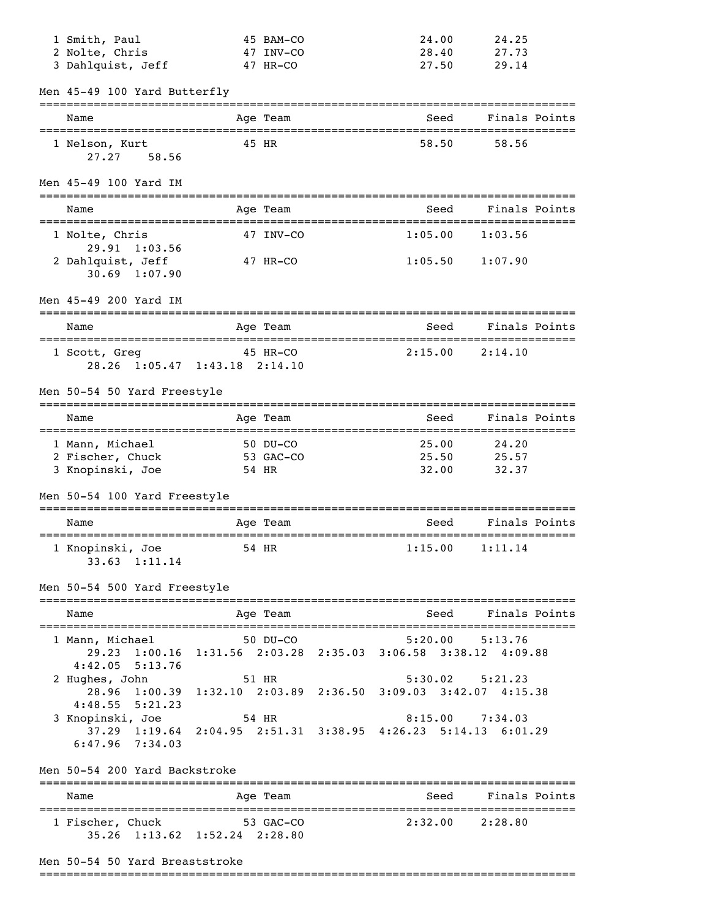| 1 Smith, Paul                            | 45 BAM-CO                                                     | 24.00                                   | 24.25               |  |
|------------------------------------------|---------------------------------------------------------------|-----------------------------------------|---------------------|--|
| 2 Nolte, Chris                           | 47 INV-CO                                                     | 28.40                                   | 27.73               |  |
| 3 Dahlquist, Jeff                        | 47 HR-CO                                                      | 27.50                                   | 29.14               |  |
| Men 45-49 100 Yard Butterfly             |                                                               |                                         |                     |  |
| Name                                     | Age Team                                                      | Seed                                    | Finals Points       |  |
| 1 Nelson, Kurt<br>27.27 58.56            | 45 HR                                                         | 58.50                                   | 58.56               |  |
| Men 45-49 100 Yard IM                    |                                                               |                                         |                     |  |
| Name                                     | Age Team                                                      | Seed                                    | Finals Points       |  |
| 1 Nolte, Chris<br>29.91 1:03.56          | 47 INV-CO                                                     | 1:05.00                                 | 1:03.56             |  |
| 2 Dahlquist, Jeff<br>$30.69$ 1:07.90     | 47 HR-CO                                                      |                                         | $1:05.50$ $1:07.90$ |  |
| Men 45-49 200 Yard IM                    |                                                               |                                         |                     |  |
| Name                                     | Age Team                                                      | Seed                                    | Finals Points       |  |
| 1 Scott, Greg 45 HR-CO                   | 28.26 1:05.47 1:43.18 2:14.10                                 |                                         | $2:15.00$ $2:14.10$ |  |
| Men 50-54 50 Yard Freestyle              |                                                               |                                         |                     |  |
| Name                                     | Age Team                                                      | Seed                                    | Finals Points       |  |
| 1 Mann, Michael                          | 50 DU-CO                                                      | 25.00                                   | 24.20               |  |
| 2 Fischer, Chuck                         | 53 GAC-CO                                                     | 25.50                                   | 25.57               |  |
| 3 Knopinski, Joe                         | 54 HR                                                         | 32.00                                   | 32.37               |  |
| Men 50-54 100 Yard Freestyle             |                                                               | =================================       |                     |  |
| Name                                     | Age Team<br>.============                                     | Seed<br>=============================== | Finals Points       |  |
| 1 Knopinski, Joe<br>33.63 1:11.14        | 54 HR                                                         | 1:15.00                                 | 1:11.14             |  |
| Men 50-54 500 Yard Freestyle             | ------------                                                  |                                         |                     |  |
| Name                                     | Age Team                                                      | Seed                                    | Finals Points       |  |
| 1 Mann, Michael                          | $50$ DU-CO                                                    | 5:20.00                                 | 5:13.76             |  |
|                                          | 29.23 1:00.16 1:31.56 2:03.28 2:35.03 3:06.58 3:38.12 4:09.88 |                                         |                     |  |
| $4:42.05$ 5:13.76<br>2 Hughes, John      | 51 HR                                                         |                                         | $5:30.02$ $5:21.23$ |  |
|                                          | 28.96 1:00.39 1:32.10 2:03.89 2:36.50 3:09.03 3:42.07 4:15.38 |                                         |                     |  |
| $4:48.55$ $5:21.23$                      |                                                               |                                         |                     |  |
| 3 Knopinski, Joe                         | 54 HR                                                         |                                         | $8:15.00$ 7:34.03   |  |
| $37.29$ $1:19.64$<br>$6:47.96$ $7:34.03$ | 2:04.95 2:51.31 3:38.95 4:26.23 5:14.13 6:01.29               |                                         |                     |  |
| Men 50-54 200 Yard Backstroke            |                                                               |                                         |                     |  |
| --------------------<br>Name             | ===================<br>Age Team                               | Seed                                    | Finals Points       |  |
| 1 Fischer, Chuck                         | 53 GAC-CO<br>35.26 1:13.62 1:52.24 2:28.80                    | 2:32.00                                 | 2:28.80             |  |
|                                          |                                                               |                                         |                     |  |

# Men 50-54 50 Yard Breaststroke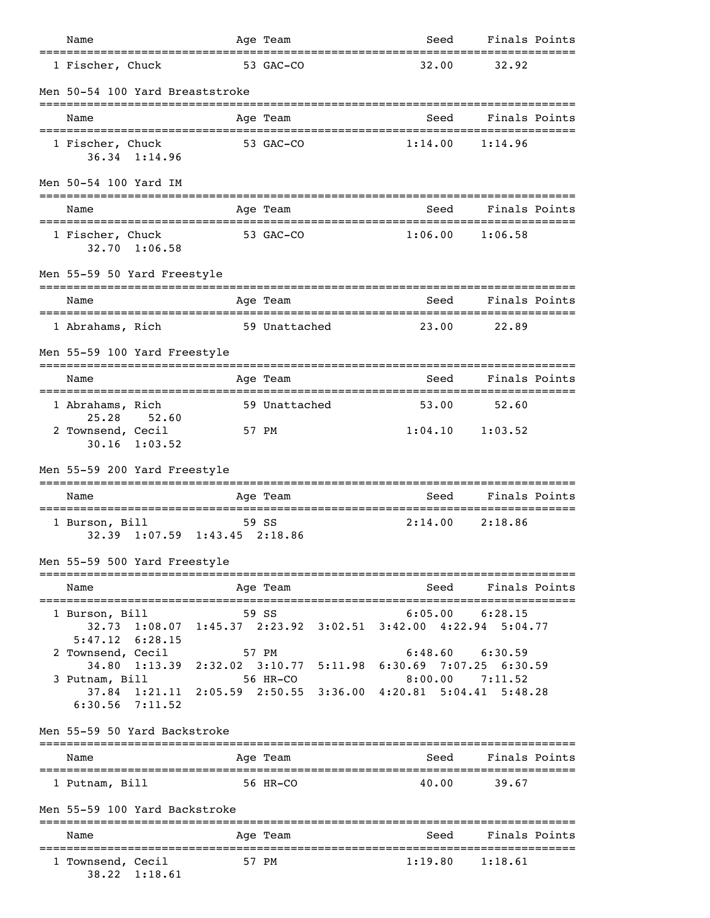| Name                                                                                                   |               | Age Team      | Seed                                                                             | Finals Points       |                |
|--------------------------------------------------------------------------------------------------------|---------------|---------------|----------------------------------------------------------------------------------|---------------------|----------------|
| 1 Fischer, Chuck                                                                                       |               | 53 GAC-CO     | 32.00                                                                            | 32.92               |                |
| Men 50-54 100 Yard Breaststroke                                                                        |               |               |                                                                                  |                     |                |
| Name                                                                                                   |               | Age Team      | Seed                                                                             | Finals Points       |                |
| 1 Fischer, Chuck<br>36.34 1:14.96                                                                      |               | 53 GAC-CO     | 1:14.00                                                                          | 1:14.96             |                |
| Men 50-54 100 Yard IM                                                                                  |               |               |                                                                                  |                     |                |
| Name                                                                                                   |               | Age Team      | Seed                                                                             | Finals Points       |                |
| 1 Fischer, Chuck<br>32.70 1:06.58                                                                      | 53 GAC-CO     |               | 1:06.00                                                                          | 1:06.58             |                |
| Men 55-59 50 Yard Freestyle                                                                            |               |               |                                                                                  |                     |                |
| Name                                                                                                   |               | Age Team      | Seed                                                                             | Finals Points       |                |
| 1 Abrahams, Rich                                                                                       | 59 Unattached |               | 23.00                                                                            | 22.89               |                |
| Men 55-59 100 Yard Freestyle                                                                           |               |               |                                                                                  |                     |                |
| Name                                                                                                   |               | Age Team      | Seed                                                                             | Finals Points       |                |
| 1 Abrahams, Rich                                                                                       |               | 59 Unattached | 53.00                                                                            | 52.60               |                |
| 25.28 52.60<br>2 Townsend, Cecil<br>$30.16$ 1:03.52                                                    |               | 57 PM         |                                                                                  | $1:04.10$ $1:03.52$ |                |
| Men 55-59 200 Yard Freestyle                                                                           |               |               |                                                                                  |                     |                |
| Name                                                                                                   |               | Age Team      | Seed                                                                             | Finals Points       |                |
| 1 Burson, Bill<br>32.39 1:07.59 1:43.45 2:18.86                                                        |               | 59 SS         | 2:14.00                                                                          | 2:18.86             |                |
| Men 55-59 500 Yard Freestyle                                                                           |               | ----------    |                                                                                  |                     |                |
| Name                                                                                                   |               | Age Team      | Seed                                                                             | Finals Points       |                |
| 1 Burson, Bill<br>32.73<br>$5:47.12$ $6:28.15$                                                         |               | 59 SS         | 6:05.00<br>$1:08.07$ $1:45.37$ $2:23.92$ $3:02.51$ $3:42.00$ $4:22.94$ $5:04.77$ | 6:28.15             |                |
| 2 Townsend, Cecil<br>34.80 1:13.39 2:32.02 3:10.77 5:11.98 6:30.69 7:07.25 6:30.59                     |               | 57 PM         |                                                                                  | $6:48.60$ $6:30.59$ |                |
| 3 Putnam, Bill<br>37.84 1:21.11 2:05.59 2:50.55 3:36.00 4:20.81 5:04.41 5:48.28<br>$6:30.56$ $7:11.52$ |               | 56 HR-CO      |                                                                                  | $8:00.00$ 7:11.52   |                |
| Men 55-59 50 Yard Backstroke                                                                           |               |               |                                                                                  |                     |                |
| Name                                                                                                   |               | Age Team      | Seed                                                                             | Finals Points       |                |
| 1 Putnam, Bill                                                                                         |               | 56 HR-CO      | 40.00                                                                            | 39.67               |                |
| Men 55-59 100 Yard Backstroke                                                                          |               |               |                                                                                  |                     |                |
| Name                                                                                                   |               | Age Team      | Seed                                                                             | Finals Points       | -------------- |
| 1 Townsend, Cecil<br>38.22 1:18.61                                                                     |               | 57 PM         |                                                                                  | $1:19.80$ $1:18.61$ |                |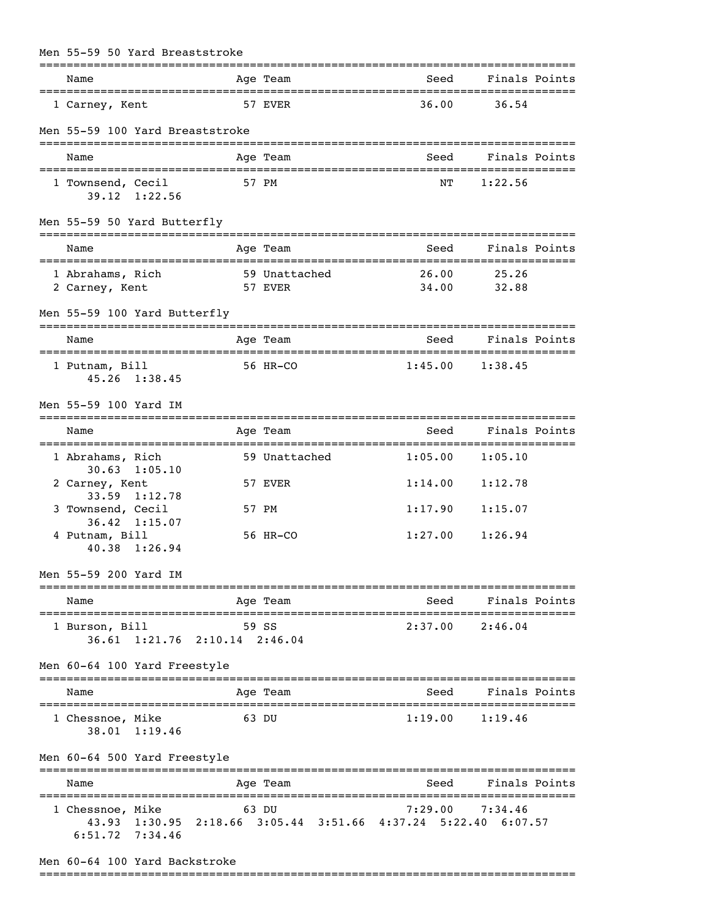| Men 55-59 50 Yard Breaststroke<br>============                                                           |             |                            | ----------                           |                     |  |
|----------------------------------------------------------------------------------------------------------|-------------|----------------------------|--------------------------------------|---------------------|--|
| Name                                                                                                     |             | Age Team                   | Seed                                 | Finals Points       |  |
| 1 Carney, Kent                                                                                           |             | 57 EVER                    | 36.00                                | 36.54               |  |
| Men 55-59 100 Yard Breaststroke                                                                          |             |                            |                                      |                     |  |
| Name<br>-------------------------                                                                        |             | Age Team                   | Seed                                 | Finals Points       |  |
| 1 Townsend, Cecil<br>39.12 1:22.56                                                                       |             | 57 PM                      | NΤ                                   | 1:22.56             |  |
| Men 55-59 50 Yard Butterfly                                                                              |             |                            |                                      |                     |  |
| Name                                                                                                     |             | Age Team                   | Seed                                 | Finals Points       |  |
| 1 Abrahams, Rich<br>2 Carney, Kent                                                                       |             | 59 Unattached<br>57 EVER   | 26.00<br>34.00                       | 25.26<br>32.88      |  |
| Men 55-59 100 Yard Butterfly                                                                             |             | ----------                 |                                      |                     |  |
| Name<br>-----------------------                                                                          | ----------- | Age Team<br>-------------- | Seed<br>;=========================== | Finals Points       |  |
| 1 Putnam, Bill<br>45.26 1:38.45                                                                          |             | 56 HR-CO                   | 1:45.00                              | 1:38.45             |  |
| Men 55-59 100 Yard IM                                                                                    |             |                            |                                      |                     |  |
| Name                                                                                                     |             | Age Team                   | Seed                                 | Finals Points       |  |
| 1 Abrahams, Rich                                                                                         |             | 59 Unattached              | 1:05.00                              | 1:05.10             |  |
| $30.63$ 1:05.10<br>2 Carney, Kent<br>33.59 1:12.78                                                       |             | 57 EVER                    | 1:14.00                              | 1:12.78             |  |
| 3 Townsend, Cecil                                                                                        |             | 57 PM                      | 1:17.90                              | 1:15.07             |  |
| 36.42 1:15.07<br>4 Putnam, Bill<br>40.38 1:26.94                                                         |             | 56 HR-CO                   | 1:27.00                              | 1:26.94             |  |
| Men 55-59 200 Yard IM                                                                                    |             |                            | ----------                           |                     |  |
| Name                                                                                                     |             | Age Team                   | Seed                                 | Finals Points       |  |
| 1 Burson, Bill<br>36.61 1:21.76 2:10.14 2:46.04                                                          |             | 59 SS                      |                                      | $2:37.00$ $2:46.04$ |  |
| Men 60-64 100 Yard Freestyle                                                                             |             | ============               |                                      |                     |  |
| Name                                                                                                     |             | Age Team                   | Seed                                 | Finals Points       |  |
| 1 Chessnoe, Mike<br>38.01 1:19.46                                                                        |             | 63 DU                      | 1:19.00                              | 1:19.46             |  |
| Men 60-64 500 Yard Freestyle                                                                             |             |                            |                                      |                     |  |
| Name                                                                                                     |             | Age Team                   | Seed                                 | Finals Points       |  |
| 1 Chessnoe, Mike<br>43.93 1:30.95 2:18.66 3:05.44 3:51.66 4:37.24 5:22.40 6:07.57<br>$6:51.72$ $7:34.46$ |             | 63 DU                      | 7:29.00                              | 7:34.46             |  |

# Men 60-64 100 Yard Backstroke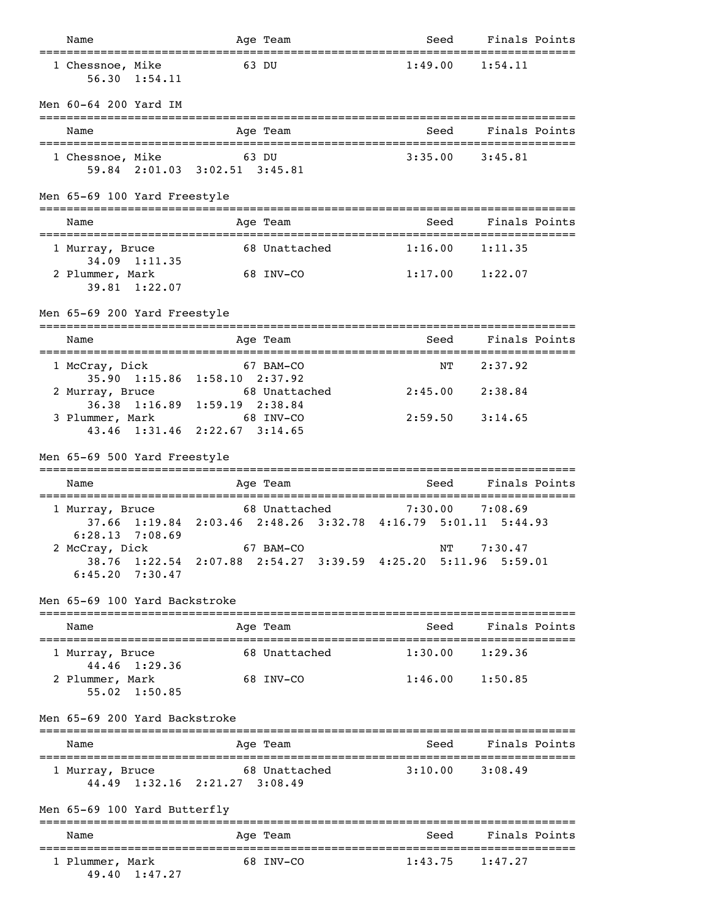| Name                                                                              |       | Age Team                                                                       | Seed                      | Finals Points |  |
|-----------------------------------------------------------------------------------|-------|--------------------------------------------------------------------------------|---------------------------|---------------|--|
| 1 Chessnoe, Mike<br>56.30 1:54.11                                                 |       | 63 DU                                                                          | 1:49.00                   | 1:54.11       |  |
| Men 60-64 200 Yard IM                                                             |       |                                                                                |                           |               |  |
| Name                                                                              |       | Age Team                                                                       | Seed                      | Finals Points |  |
| 1 Chessnoe, Mike<br>59.84 2:01.03 3:02.51 3:45.81                                 | 63 DU |                                                                                | 3:35.00                   | 3:45.81       |  |
| Men 65-69 100 Yard Freestyle                                                      |       |                                                                                |                           |               |  |
| Name                                                                              |       | Age Team                                                                       | Seed                      | Finals Points |  |
| 1 Murray, Bruce                                                                   |       | 68 Unattached                                                                  | 1:16.00                   | 1:11.35       |  |
| 34.09 1:11.35<br>2 Plummer, Mark<br>39.81 1:22.07                                 |       | 68 INV-CO                                                                      | 1:17.00                   | 1:22.07       |  |
| Men 65-69 200 Yard Freestyle                                                      |       |                                                                                |                           |               |  |
| Name                                                                              |       | Age Team                                                                       | Seed                      | Finals Points |  |
| 1 McCray, Dick                                                                    |       | 67 BAM-CO                                                                      | ΝT                        | 2:37.92       |  |
| 35.90 1:15.86 1:58.10 2:37.92<br>2 Murray, Bruce                                  |       | 68 Unattached                                                                  | 2:45.00                   | 2:38.84       |  |
| 36.38 1:16.89 1:59.19 2:38.84<br>3 Plummer, Mark<br>43.46 1:31.46 2:22.67 3:14.65 |       | 68 INV-CO                                                                      | 2:59.50                   | 3:14.65       |  |
| Men 65-69 500 Yard Freestyle                                                      |       |                                                                                |                           |               |  |
| Name                                                                              |       | ===========<br>Age Team                                                        | -----------------<br>Seed | Finals Points |  |
| 1 Murray, Bruce                                                                   |       | 68 Unattached<br>37.66 1:19.84 2:03.46 2:48.26 3:32.78 4:16.79 5:01.11 5:44.93 | 7:30.00                   | 7:08.69       |  |
| 6:28.13<br>7:08.69<br>2 McCray, Dick<br>$6:45.20$ $7:30.47$                       |       | 67 BAM-CO<br>38.76 1:22.54 2:07.88 2:54.27 3:39.59 4:25.20 5:11.96 5:59.01     | ΝT                        | 7:30.47       |  |
| Men 65-69 100 Yard Backstroke                                                     |       |                                                                                |                           |               |  |
| Name                                                                              |       | Age Team                                                                       | Seed                      | Finals Points |  |
| 1 Murray, Bruce                                                                   |       | 68 Unattached                                                                  | $1:30.00$ $1:29.36$       |               |  |
| 44.46 1:29.36<br>2 Plummer, Mark<br>$55.02 \quad 1:50.85$                         |       | 68 INV-CO                                                                      | $1:46.00$ $1:50.85$       |               |  |
| Men 65-69 200 Yard Backstroke                                                     |       |                                                                                |                           |               |  |
| Name                                                                              |       | Age Team                                                                       | Seed                      | Finals Points |  |
| 1 Murray, Bruce<br>44.49 1:32.16 2:21.27 3:08.49                                  |       | 68 Unattached                                                                  | $3:10.00$ $3:08.49$       |               |  |
| Men 65-69 100 Yard Butterfly                                                      |       |                                                                                |                           |               |  |
| Name                                                                              |       | Age Team                                                                       | Seed                      | Finals Points |  |
| 1 Plummer, Mark<br>49.40 1:47.27                                                  |       | 68 INV-CO                                                                      | $1:43.75$ $1:47.27$       |               |  |